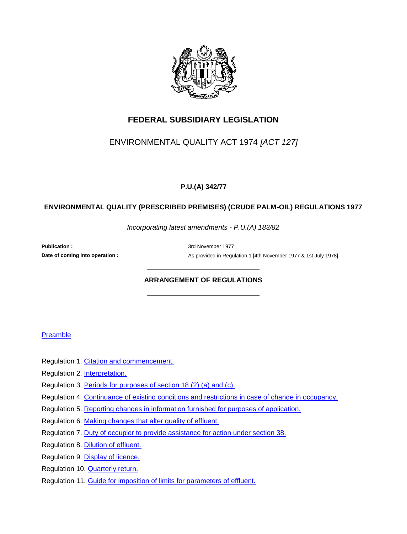

## **FEDERAL SUBSIDIARY LEGISLATION**

## ENVIRONMENTAL QUALITY ACT 1974 *[ACT 127]*

### **P.U.(A) 342/77**

#### **ENVIRONMENTAL QUALITY (PRESCRIBED PREMISES) (CRUDE PALM-OIL) REGULATIONS 1977**

*Incorporating latest amendments - P.U.(A) 183/82*

**Publication :** 3rd November 1977

**Date of coming into operation :** As provided in Regulation 1 [4th November 1977 & 1st July 1978]

#### **ARRANGEMENT OF REGULATIONS**

#### **Preamble**

- Regulation 1. Citation and commencement.
- Regulation 2. Interpretation.
- Regulation 3. Periods for purposes of section 18 (2) (a) and (c).
- Regulation 4. Continuance of existing conditions and restrictions in case of change in occupancy.
- Regulation 5. Reporting changes in information furnished for purposes of application.
- Regulation 6. Making changes that alter quality of effluent.
- Regulation 7. Duty of occupier to provide assistance for action under section 38.
- Regulation 8. Dilution of effluent.
- Regulation 9. Display of licence.
- Regulation 10. Quarterly return.
- Regulation 11. Guide for imposition of limits for parameters of effluent.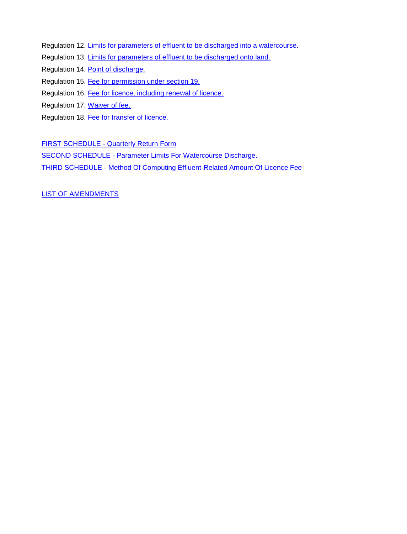- Regulation 12. Limits for parameters of effluent to be discharged into a watercourse.
- Regulation 13. Limits for parameters of effluent to be discharged onto land.
- Regulation 14. Point of discharge.
- Regulation 15. Fee for permission under section 19.
- Regulation 16. Fee for licence, including renewal of licence.
- Regulation 17. Waiver of fee.
- Regulation 18. Fee for transfer of licence.

**FIRST SCHEDULE - Quarterly Return Form** 

SECOND SCHEDULE - Parameter Limits For Watercourse Discharge.

THIRD SCHEDULE - Method Of Computing Effluent-Related Amount Of Licence Fee

LIST OF AMENDMENTS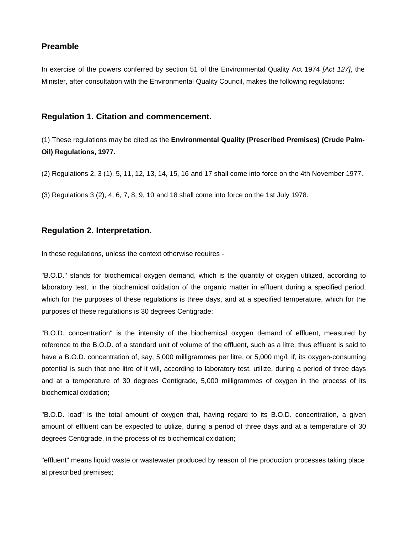## **Preamble**

In exercise of the powers conferred by section 51 of the Environmental Quality Act 1974 *[Act 127]*, the Minister, after consultation with the Environmental Quality Council, makes the following regulations:

### **Regulation 1. Citation and commencement.**

(1) These regulations may be cited as the **Environmental Quality (Prescribed Premises) (Crude Palm-Oil) Regulations, 1977.**

(2) Regulations 2, 3 (1), 5, 11, 12, 13, 14, 15, 16 and 17 shall come into force on the 4th November 1977.

(3) Regulations 3 (2), 4, 6, 7, 8, 9, 10 and 18 shall come into force on the 1st July 1978.

### **Regulation 2. Interpretation.**

In these regulations, unless the context otherwise requires -

"B.O.D." stands for biochemical oxygen demand, which is the quantity of oxygen utilized, according to laboratory test, in the biochemical oxidation of the organic matter in effluent during a specified period, which for the purposes of these regulations is three days, and at a specified temperature, which for the purposes of these regulations is 30 degrees Centigrade;

"B.O.D. concentration" is the intensity of the biochemical oxygen demand of effluent, measured by reference to the B.O.D. of a standard unit of volume of the effluent, such as a litre; thus effluent is said to have a B.O.D. concentration of, say, 5,000 milligrammes per litre, or 5,000 mg/l, if, its oxygen-consuming potential is such that one litre of it will, according to laboratory test, utilize, during a period of three days and at a temperature of 30 degrees Centigrade, 5,000 milligrammes of oxygen in the process of its biochemical oxidation;

"B.O.D. load" is the total amount of oxygen that, having regard to its B.O.D. concentration, a given amount of effluent can be expected to utilize, during a period of three days and at a temperature of 30 degrees Centigrade, in the process of its biochemical oxidation;

"effluent" means liquid waste or wastewater produced by reason of the production processes taking place at prescribed premises;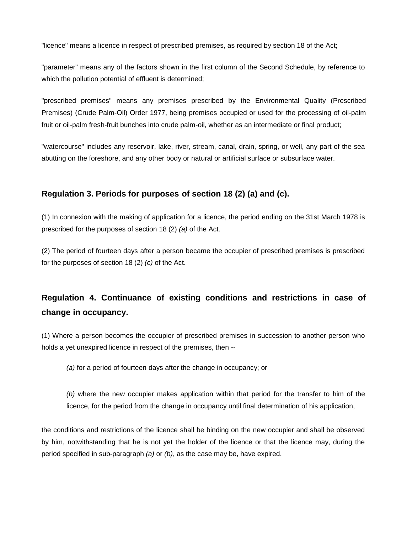"licence" means a licence in respect of prescribed premises, as required by section 18 of the Act;

"parameter" means any of the factors shown in the first column of the Second Schedule, by reference to which the pollution potential of effluent is determined;

"prescribed premises" means any premises prescribed by the Environmental Quality (Prescribed Premises) (Crude Palm-Oil) Order 1977, being premises occupied or used for the processing of oil-palm fruit or oil-palm fresh-fruit bunches into crude palm-oil, whether as an intermediate or final product;

"watercourse" includes any reservoir, lake, river, stream, canal, drain, spring, or well, any part of the sea abutting on the foreshore, and any other body or natural or artificial surface or subsurface water.

## **Regulation 3. Periods for purposes of section 18 (2) (a) and (c).**

(1) In connexion with the making of application for a licence, the period ending on the 31st March 1978 is prescribed for the purposes of section 18 (2) *(a)* of the Act.

(2) The period of fourteen days after a person became the occupier of prescribed premises is prescribed for the purposes of section 18 (2) *(c)* of the Act.

# **Regulation 4. Continuance of existing conditions and restrictions in case of change in occupancy.**

(1) Where a person becomes the occupier of prescribed premises in succession to another person who holds a yet unexpired licence in respect of the premises, then --

*(a)* for a period of fourteen days after the change in occupancy; or

*(b)* where the new occupier makes application within that period for the transfer to him of the licence, for the period from the change in occupancy until final determination of his application,

the conditions and restrictions of the licence shall be binding on the new occupier and shall be observed by him, notwithstanding that he is not yet the holder of the licence or that the licence may, during the period specified in sub-paragraph *(a)* or *(b)*, as the case may be, have expired.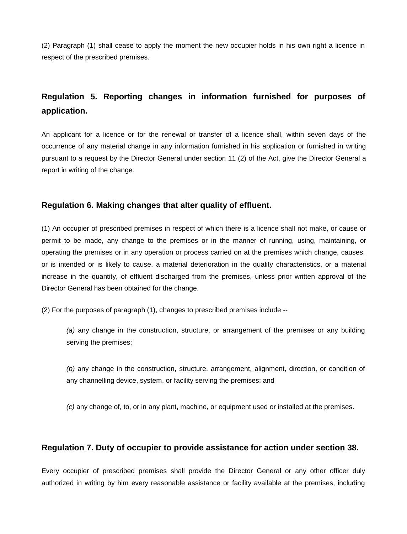(2) Paragraph (1) shall cease to apply the moment the new occupier holds in his own right a licence in respect of the prescribed premises.

# **Regulation 5. Reporting changes in information furnished for purposes of application.**

An applicant for a licence or for the renewal or transfer of a licence shall, within seven days of the occurrence of any material change in any information furnished in his application or furnished in writing pursuant to a request by the Director General under section 11 (2) of the Act, give the Director General a report in writing of the change.

#### **Regulation 6. Making changes that alter quality of effluent.**

(1) An occupier of prescribed premises in respect of which there is a licence shall not make, or cause or permit to be made, any change to the premises or in the manner of running, using, maintaining, or operating the premises or in any operation or process carried on at the premises which change, causes, or is intended or is likely to cause, a material deterioration in the quality characteristics, or a material increase in the quantity, of effluent discharged from the premises, unless prior written approval of the Director General has been obtained for the change.

(2) For the purposes of paragraph (1), changes to prescribed premises include --

*(a)* any change in the construction, structure, or arrangement of the premises or any building serving the premises;

*(b)* any change in the construction, structure, arrangement, alignment, direction, or condition of any channelling device, system, or facility serving the premises; and

*(c)* any change of, to, or in any plant, machine, or equipment used or installed at the premises.

#### **Regulation 7. Duty of occupier to provide assistance for action under section 38.**

Every occupier of prescribed premises shall provide the Director General or any other officer duly authorized in writing by him every reasonable assistance or facility available at the premises, including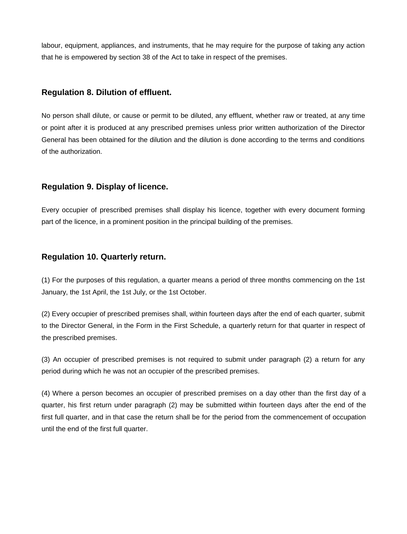labour, equipment, appliances, and instruments, that he may require for the purpose of taking any action that he is empowered by section 38 of the Act to take in respect of the premises.

### **Regulation 8. Dilution of effluent.**

No person shall dilute, or cause or permit to be diluted, any effluent, whether raw or treated, at any time or point after it is produced at any prescribed premises unless prior written authorization of the Director General has been obtained for the dilution and the dilution is done according to the terms and conditions of the authorization.

## **Regulation 9. Display of licence.**

Every occupier of prescribed premises shall display his licence, together with every document forming part of the licence, in a prominent position in the principal building of the premises.

## **Regulation 10. Quarterly return.**

(1) For the purposes of this regulation, a quarter means a period of three months commencing on the 1st January, the 1st April, the 1st July, or the 1st October.

(2) Every occupier of prescribed premises shall, within fourteen days after the end of each quarter, submit to the Director General, in the Form in the First Schedule, a quarterly return for that quarter in respect of the prescribed premises.

(3) An occupier of prescribed premises is not required to submit under paragraph (2) a return for any period during which he was not an occupier of the prescribed premises.

(4) Where a person becomes an occupier of prescribed premises on a day other than the first day of a quarter, his first return under paragraph (2) may be submitted within fourteen days after the end of the first full quarter, and in that case the return shall be for the period from the commencement of occupation until the end of the first full quarter.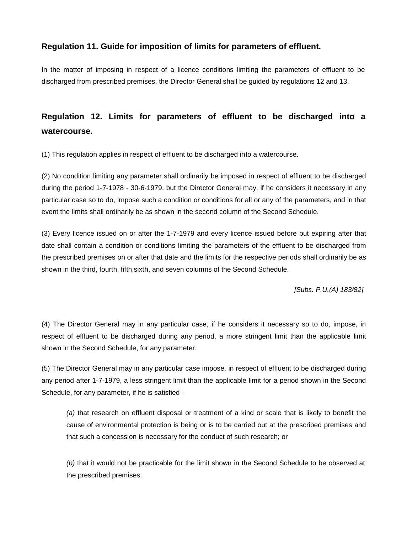## **Regulation 11. Guide for imposition of limits for parameters of effluent.**

In the matter of imposing in respect of a licence conditions limiting the parameters of effluent to be discharged from prescribed premises, the Director General shall be guided by regulations 12 and 13.

# **Regulation 12. Limits for parameters of effluent to be discharged into a watercourse.**

(1) This regulation applies in respect of effluent to be discharged into a watercourse.

(2) No condition limiting any parameter shall ordinarily be imposed in respect of effluent to be discharged during the period 1-7-1978 - 30-6-1979, but the Director General may, if he considers it necessary in any particular case so to do, impose such a condition or conditions for all or any of the parameters, and in that event the limits shall ordinarily be as shown in the second column of the Second Schedule.

(3) Every licence issued on or after the 1-7-1979 and every licence issued before but expiring after that date shall contain a condition or conditions limiting the parameters of the effluent to be discharged from the prescribed premises on or after that date and the limits for the respective periods shall ordinarily be as shown in the third, fourth, fifth,sixth, and seven columns of the Second Schedule.

*[Subs. P.U.(A) 183/82]*

(4) The Director General may in any particular case, if he considers it necessary so to do, impose, in respect of effluent to be discharged during any period, a more stringent limit than the applicable limit shown in the Second Schedule, for any parameter.

(5) The Director General may in any particular case impose, in respect of effluent to be discharged during any period after 1-7-1979, a less stringent limit than the applicable limit for a period shown in the Second Schedule, for any parameter, if he is satisfied -

*(a)* that research on effluent disposal or treatment of a kind or scale that is likely to benefit the cause of environmental protection is being or is to be carried out at the prescribed premises and that such a concession is necessary for the conduct of such research; or

*(b)* that it would not be practicable for the limit shown in the Second Schedule to be observed at the prescribed premises.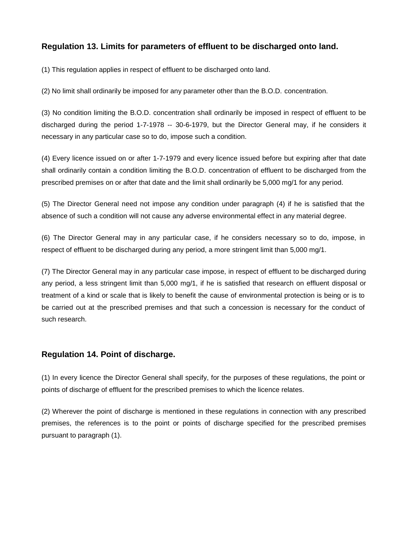## **Regulation 13. Limits for parameters of effluent to be discharged onto land.**

(1) This regulation applies in respect of effluent to be discharged onto land.

(2) No limit shall ordinarily be imposed for any parameter other than the B.O.D. concentration.

(3) No condition limiting the B.O.D. concentration shall ordinarily be imposed in respect of effluent to be discharged during the period 1-7-1978 -- 30-6-1979, but the Director General may, if he considers it necessary in any particular case so to do, impose such a condition.

(4) Every licence issued on or after 1-7-1979 and every licence issued before but expiring after that date shall ordinarily contain a condition limiting the B.O.D. concentration of effluent to be discharged from the prescribed premises on or after that date and the limit shall ordinarily be 5,000 mg/1 for any period.

(5) The Director General need not impose any condition under paragraph (4) if he is satisfied that the absence of such a condition will not cause any adverse environmental effect in any material degree.

(6) The Director General may in any particular case, if he considers necessary so to do, impose, in respect of effluent to be discharged during any period, a more stringent limit than 5,000 mg/1.

(7) The Director General may in any particular case impose, in respect of effluent to be discharged during any period, a less stringent limit than 5,000 mg/1, if he is satisfied that research on effluent disposal or treatment of a kind or scale that is likely to benefit the cause of environmental protection is being or is to be carried out at the prescribed premises and that such a concession is necessary for the conduct of such research.

## **Regulation 14. Point of discharge.**

(1) In every licence the Director General shall specify, for the purposes of these regulations, the point or points of discharge of effluent for the prescribed premises to which the licence relates.

(2) Wherever the point of discharge is mentioned in these regulations in connection with any prescribed premises, the references is to the point or points of discharge specified for the prescribed premises pursuant to paragraph (1).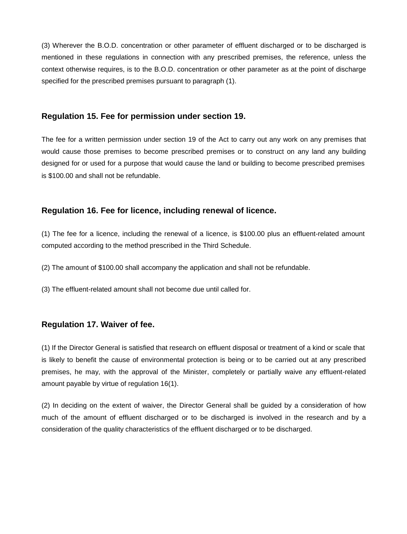(3) Wherever the B.O.D. concentration or other parameter of effluent discharged or to be discharged is mentioned in these regulations in connection with any prescribed premises, the reference, unless the context otherwise requires, is to the B.O.D. concentration or other parameter as at the point of discharge specified for the prescribed premises pursuant to paragraph (1).

#### **Regulation 15. Fee for permission under section 19.**

The fee for a written permission under section 19 of the Act to carry out any work on any premises that would cause those premises to become prescribed premises or to construct on any land any building designed for or used for a purpose that would cause the land or building to become prescribed premises is \$100.00 and shall not be refundable.

#### **Regulation 16. Fee for licence, including renewal of licence.**

(1) The fee for a licence, including the renewal of a licence, is \$100.00 plus an effluent-related amount computed according to the method prescribed in the Third Schedule.

(2) The amount of \$100.00 shall accompany the application and shall not be refundable.

(3) The effluent-related amount shall not become due until called for.

#### **Regulation 17. Waiver of fee.**

(1) If the Director General is satisfied that research on effluent disposal or treatment of a kind or scale that is likely to benefit the cause of environmental protection is being or to be carried out at any prescribed premises, he may, with the approval of the Minister, completely or partially waive any effluent-related amount payable by virtue of regulation 16(1).

(2) In deciding on the extent of waiver, the Director General shall be guided by a consideration of how much of the amount of effluent discharged or to be discharged is involved in the research and by a consideration of the quality characteristics of the effluent discharged or to be discharged.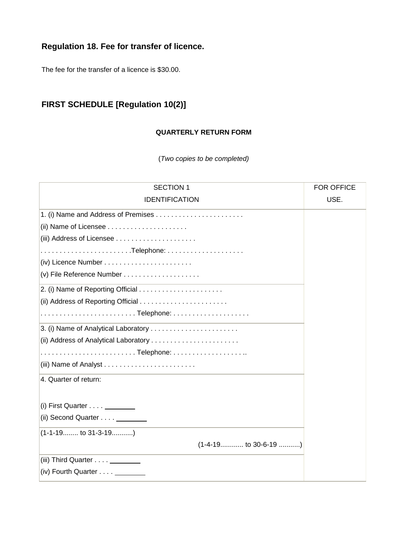## **Regulation 18. Fee for transfer of licence.**

The fee for the transfer of a licence is \$30.00.

## **FIRST SCHEDULE [Regulation 10(2)]**

### **QUARTERLY RETURN FORM**

(*Two copies to be completed)*

| <b>SECTION 1</b>                                                  | <b>FOR OFFICE</b> |
|-------------------------------------------------------------------|-------------------|
| <b>IDENTIFICATION</b>                                             | USE.              |
|                                                                   |                   |
| (ii) Name of Licensee $\ldots \ldots \ldots \ldots \ldots \ldots$ |                   |
|                                                                   |                   |
|                                                                   |                   |
|                                                                   |                   |
|                                                                   |                   |
|                                                                   |                   |
|                                                                   |                   |
|                                                                   |                   |
|                                                                   |                   |
|                                                                   |                   |
|                                                                   |                   |
|                                                                   |                   |
| 4. Quarter of return:                                             |                   |
|                                                                   |                   |
| (i) First Quarter $\dots$                                         |                   |
| (ii) Second Quarter _________                                     |                   |
| $(1-1-191031-3-19$                                                |                   |
| $(1-4-19$ to 30-6-19 )                                            |                   |
| (iii) Third Quarter _________                                     |                   |
| (iv) Fourth Quarter _________                                     |                   |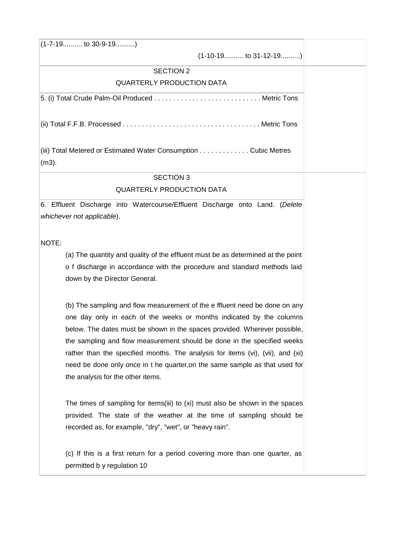(1-7-19.......... to 30-9-19..........)

(1-10-19.......... to 31-12-19..........)

#### SECTION 2

#### QUARTERLY PRODUCTION DATA

5. (i) Total Crude Palm-Oil Produced . . . . . . . . . . . . . . . . . . . . . . . . . . . . Metric Tons

(ii) Total F.F.B. Processed . . . . . . . . . . . . . . . . . . . . . . . . . . . . . . . . . . . . Metric Tons

(iii) Total Metered or Estimated Water Consumption . . . . . . . . . . . . . Cubic Metres (m3).

#### SECTION 3

### QUARTERLY PRODUCTION DATA

6. Effluent Discharge into Watercourse/Effluent Discharge onto Land. (*Delete whichever not applicable*).

NOTE:

(a) The quantity and quality of the effluent must be as determined at the point o f discharge in accordance with the procedure and standard methods laid down by the Director General.

(b) The sampling and flow measurement of the e ffluent need be done on any one day only in each of the weeks or months indicated by the columns below. The dates must be shown in the spaces provided. Wherever possible, the sampling and flow measurement should be done in the specified weeks rather than the specified months. The analysis for items (vi), (vii), and (xi) need be done only once in t he quarter,on the same sample as that used for the analysis for the other items.

The times of sampling for items(iii) to (xi) must also be shown in the spaces provided. The state of the weather at the time of sampling should be recorded as, for example, "dry", "wet", or "heavy rain".

(c) If this is a first return for a period covering more than one quarter, as permitted b y regulation 10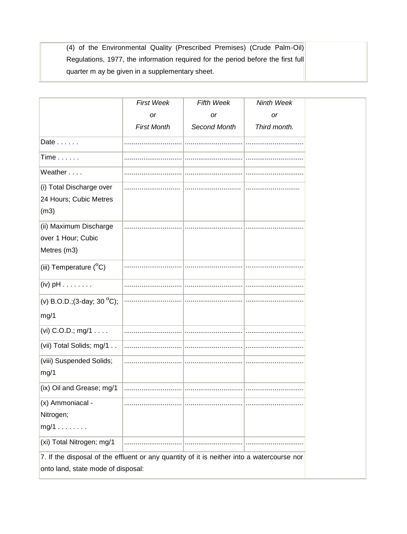| (4) of the Environmental Quality (Prescribed Premises) (Crude Palm-Oil)          |
|----------------------------------------------------------------------------------|
| Regulations, 1977, the information required for the period before the first full |
| quarter m ay be given in a supplementary sheet.                                  |

|                                                                                            | <b>First Week</b>  | <b>Fifth Week</b> | Ninth Week   |
|--------------------------------------------------------------------------------------------|--------------------|-------------------|--------------|
|                                                                                            | or                 | or                | or           |
|                                                                                            | <b>First Month</b> | Second Month      | Third month. |
| Date                                                                                       |                    |                   |              |
| $Time \dots \dots$                                                                         |                    |                   |              |
| Weather                                                                                    |                    |                   |              |
| (i) Total Discharge over                                                                   |                    |                   |              |
| 24 Hours; Cubic Metres                                                                     |                    |                   |              |
| (m3)                                                                                       |                    |                   |              |
| (ii) Maximum Discharge                                                                     |                    |                   |              |
| over 1 Hour; Cubic                                                                         |                    |                   |              |
| Metres (m3)                                                                                |                    |                   |              |
| (iii) Temperature (°C)                                                                     |                    |                   |              |
| $(iv)$ pH $\dots \dots$                                                                    |                    |                   |              |
| (v) B.O.D.; (3-day; 30 $^{\circ}$ C);                                                      |                    |                   |              |
| mg/1                                                                                       |                    |                   |              |
| (vi) C.O.D.; mg/1                                                                          |                    |                   |              |
| (vii) Total Solids; mg/1                                                                   |                    |                   |              |
| (viii) Suspended Solids;                                                                   |                    |                   |              |
| mg/1                                                                                       |                    |                   |              |
| (ix) Oil and Grease; mg/1                                                                  |                    |                   |              |
| (x) Ammoniacal -                                                                           |                    |                   |              |
| Nitrogen;                                                                                  |                    |                   |              |
| $mg/1$                                                                                     |                    |                   |              |
| (xi) Total Nitrogen; mg/1                                                                  |                    |                   |              |
| 7. If the disposal of the effluent or any quantity of it is neither into a watercourse nor |                    |                   |              |
| onto land, state mode of disposal:                                                         |                    |                   |              |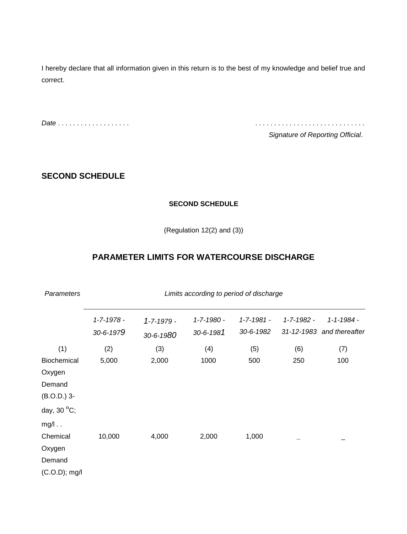I hereby declare that all information given in this return is to the best of my knowledge and belief true and correct.

*Date* . . . . . . . . . . . . . . . . . . . . . . . . . . . . . . . . . . . . . . . . . . . . . . . .

*Signature of Reporting Official*.

## **SECOND SCHEDULE**

### **SECOND SCHEDULE**

(Regulation 12(2) and (3))

## **PARAMETER LIMITS FOR WATERCOURSE DISCHARGE**

| <b>Parameters</b>     | Limits according to period of discharge |                  |            |                  |            |                           |
|-----------------------|-----------------------------------------|------------------|------------|------------------|------------|---------------------------|
|                       | 1-7-1978 -                              | $1 - 7 - 1979 -$ | 1-7-1980 - | $1 - 7 - 1981 -$ | 1-7-1982 - | 1-1-1984 -                |
|                       | 30-6-1979                               | 30-6-1980        | 30-6-1981  | 30-6-1982        |            | 31-12-1983 and thereafter |
| (1)                   | (2)                                     | (3)              | (4)        | (5)              | (6)        | (7)                       |
| Biochemical           | 5,000                                   | 2,000            | 1000       | 500              | 250        | 100                       |
| Oxygen                |                                         |                  |            |                  |            |                           |
| Demand                |                                         |                  |            |                  |            |                           |
| $(B.O.D.)$ 3-         |                                         |                  |            |                  |            |                           |
| day, 30 $^{\circ}$ C; |                                         |                  |            |                  |            |                           |
| $mg/l$                |                                         |                  |            |                  |            |                           |
| Chemical              | 10,000                                  | 4,000            | 2,000      | 1,000            |            |                           |
| Oxygen                |                                         |                  |            |                  |            |                           |
| Demand                |                                         |                  |            |                  |            |                           |
| $(C.O.D);$ mg/l       |                                         |                  |            |                  |            |                           |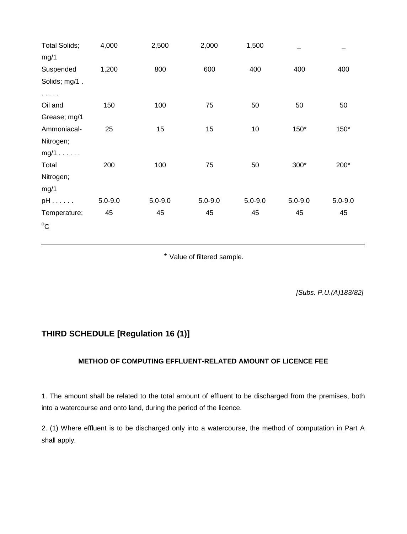| <b>Total Solids;</b> | 4,000       | 2,500       | 2,000       | 1,500       |             |             |
|----------------------|-------------|-------------|-------------|-------------|-------------|-------------|
| mg/1                 |             |             |             |             |             |             |
| Suspended            | 1,200       | 800         | 600         | 400         | 400         | 400         |
| Solids; mg/1.        |             |             |             |             |             |             |
| .                    |             |             |             |             |             |             |
| Oil and              | 150         | 100         | 75          | 50          | 50          | 50          |
| Grease; mg/1         |             |             |             |             |             |             |
| Ammoniacal-          | 25          | 15          | 15          | 10          | 150*        | 150*        |
| Nitrogen;            |             |             |             |             |             |             |
| $mg/1$               |             |             |             |             |             |             |
| Total                | 200         | 100         | 75          | 50          | 300*        | 200*        |
| Nitrogen;            |             |             |             |             |             |             |
| mg/1                 |             |             |             |             |             |             |
| $pH$                 | $5.0 - 9.0$ | $5.0 - 9.0$ | $5.0 - 9.0$ | $5.0 - 9.0$ | $5.0 - 9.0$ | $5.0 - 9.0$ |
| Temperature;         | 45          | 45          | 45          | 45          | 45          | 45          |
| $^{\circ}$ C         |             |             |             |             |             |             |

\* Value of filtered sample.

*[Subs. P.U.(A)183/82]*

## **THIRD SCHEDULE [Regulation 16 (1)]**

#### **METHOD OF COMPUTING EFFLUENT-RELATED AMOUNT OF LICENCE FEE**

1. The amount shall be related to the total amount of effluent to be discharged from the premises, both into a watercourse and onto land, during the period of the licence.

2. (1) Where effluent is to be discharged only into a watercourse, the method of computation in Part A shall apply.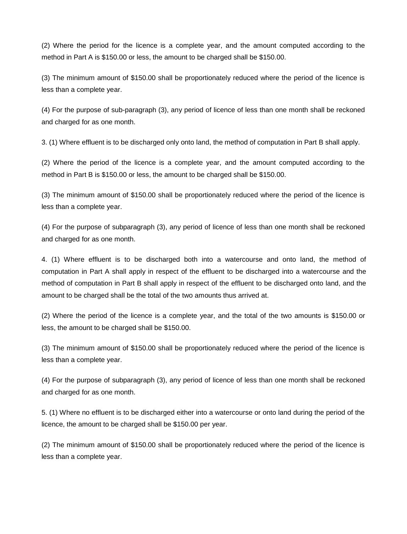(2) Where the period for the licence is a complete year, and the amount computed according to the method in Part A is \$150.00 or less, the amount to be charged shall be \$150.00.

(3) The minimum amount of \$150.00 shall be proportionately reduced where the period of the licence is less than a complete year.

(4) For the purpose of sub-paragraph (3), any period of licence of less than one month shall be reckoned and charged for as one month.

3. (1) Where effluent is to be discharged only onto land, the method of computation in Part B shall apply.

(2) Where the period of the licence is a complete year, and the amount computed according to the method in Part B is \$150.00 or less, the amount to be charged shall be \$150.00.

(3) The minimum amount of \$150.00 shall be proportionately reduced where the period of the licence is less than a complete year.

(4) For the purpose of subparagraph (3), any period of licence of less than one month shall be reckoned and charged for as one month.

4. (1) Where effluent is to be discharged both into a watercourse and onto land, the method of computation in Part A shall apply in respect of the effluent to be discharged into a watercourse and the method of computation in Part B shall apply in respect of the effluent to be discharged onto land, and the amount to be charged shall be the total of the two amounts thus arrived at.

(2) Where the period of the licence is a complete year, and the total of the two amounts is \$150.00 or less, the amount to be charged shall be \$150.00.

(3) The minimum amount of \$150.00 shall be proportionately reduced where the period of the licence is less than a complete year.

(4) For the purpose of subparagraph (3), any period of licence of less than one month shall be reckoned and charged for as one month.

5. (1) Where no effluent is to be discharged either into a watercourse or onto land during the period of the licence, the amount to be charged shall be \$150.00 per year.

(2) The minimum amount of \$150.00 shall be proportionately reduced where the period of the licence is less than a complete year.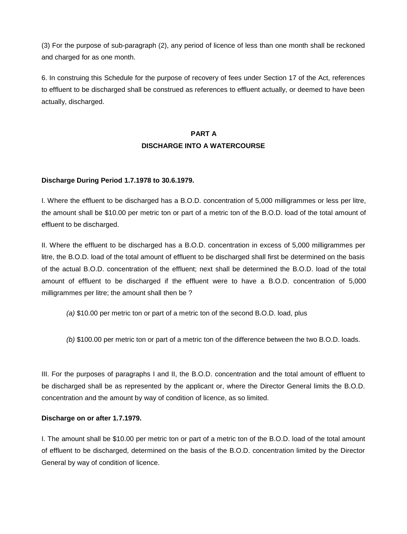(3) For the purpose of sub-paragraph (2), any period of licence of less than one month shall be reckoned and charged for as one month.

6. In construing this Schedule for the purpose of recovery of fees under Section 17 of the Act, references to effluent to be discharged shall be construed as references to effluent actually, or deemed to have been actually, discharged.

## **PART A DISCHARGE INTO A WATERCOURSE**

#### **Discharge During Period 1.7.1978 to 30.6.1979.**

I. Where the effluent to be discharged has a B.O.D. concentration of 5,000 milligrammes or less per litre, the amount shall be \$10.00 per metric ton or part of a metric ton of the B.O.D. load of the total amount of effluent to be discharged.

II. Where the effluent to be discharged has a B.O.D. concentration in excess of 5,000 milligrammes per litre, the B.O.D. load of the total amount of effluent to be discharged shall first be determined on the basis of the actual B.O.D. concentration of the effluent; next shall be determined the B.O.D. load of the total amount of effluent to be discharged if the effluent were to have a B.O.D. concentration of 5,000 milligrammes per litre; the amount shall then be ?

*(a)* \$10.00 per metric ton or part of a metric ton of the second B.O.D. load, plus

*(b)* \$100.00 per metric ton or part of a metric ton of the difference between the two B.O.D. loads.

III. For the purposes of paragraphs I and II, the B.O.D. concentration and the total amount of effluent to be discharged shall be as represented by the applicant or, where the Director General limits the B.O.D. concentration and the amount by way of condition of licence, as so limited.

#### **Discharge on or after 1.7.1979.**

I. The amount shall be \$10.00 per metric ton or part of a metric ton of the B.O.D. load of the total amount of effluent to be discharged, determined on the basis of the B.O.D. concentration limited by the Director General by way of condition of licence.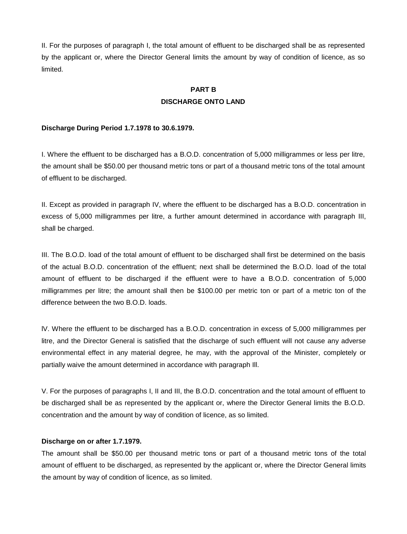II. For the purposes of paragraph I, the total amount of effluent to be discharged shall be as represented by the applicant or, where the Director General limits the amount by way of condition of licence, as so limited.

## **PART B DISCHARGE ONTO LAND**

#### **Discharge During Period 1.7.1978 to 30.6.1979.**

I. Where the effluent to be discharged has a B.O.D. concentration of 5,000 milligrammes or less per litre, the amount shall be \$50.00 per thousand metric tons or part of a thousand metric tons of the total amount of effluent to be discharged.

II. Except as provided in paragraph IV, where the effluent to be discharged has a B.O.D. concentration in excess of 5,000 milligrammes per litre, a further amount determined in accordance with paragraph III, shall be charged.

III. The B.O.D. load of the total amount of effluent to be discharged shall first be determined on the basis of the actual B.O.D. concentration of the effluent; next shall be determined the B.O.D. load of the total amount of effluent to be discharged if the effluent were to have a B.O.D. concentration of 5,000 milligrammes per litre; the amount shall then be \$100.00 per metric ton or part of a metric ton of the difference between the two B.O.D. loads.

lV. Where the effluent to be discharged has a B.O.D. concentration in excess of 5,000 milligrammes per litre, and the Director General is satisfied that the discharge of such effluent will not cause any adverse environmental effect in any material degree, he may, with the approval of the Minister, completely or partially waive the amount determined in accordance with paragraph Ill.

V. For the purposes of paragraphs I, II and III, the B.O.D. concentration and the total amount of effluent to be discharged shall be as represented by the applicant or, where the Director General limits the B.O.D. concentration and the amount by way of condition of licence, as so limited.

#### **Discharge on or after 1.7.1979.**

The amount shall be \$50.00 per thousand metric tons or part of a thousand metric tons of the total amount of effluent to be discharged, as represented by the applicant or, where the Director General limits the amount by way of condition of licence, as so limited.